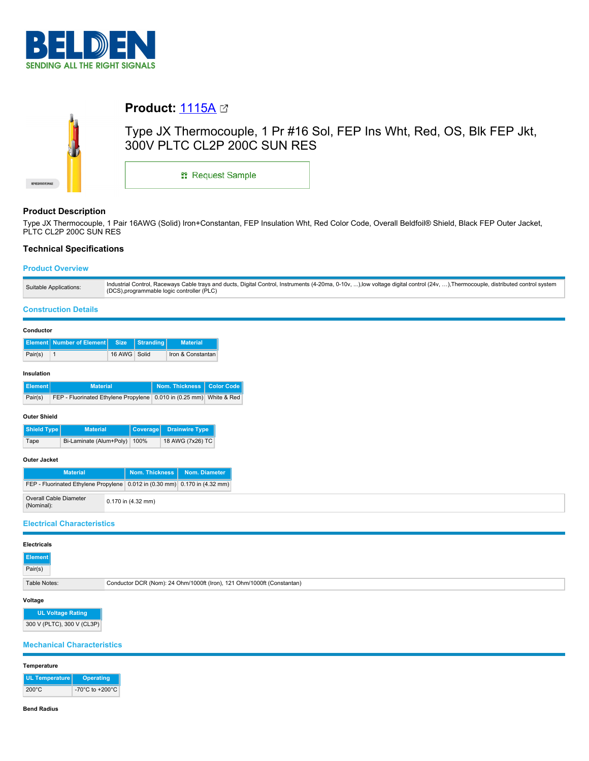



# **Product:** [1115A](https://catalog.belden.com/index.cfm?event=pd&p=PF_1115A&tab=downloads)

Type JX Thermocouple, 1 Pr #16 Sol, FEP Ins Wht, Red, OS, Blk FEP Jkt, 300V PLTC CL2P 200C SUN RES

\*\* Request Sample

# **Product Description**

Type JX Thermocouple, 1 Pair 16AWG (Solid) Iron+Constantan, FEP Insulation Wht, Red Color Code, Overall Beldfoil® Shield, Black FEP Outer Jacket, PLTC CL2P 200C SUN RES

# **Technical Specifications**

# **Product Overview**

| Suitable Applications: | Industrial Control, Raceways Cable trays and ducts, Digital Control, Instruments (4-20ma, 0-10v, ),low voltage digital control (24v, ), Thermocouple, distributed control system |
|------------------------|----------------------------------------------------------------------------------------------------------------------------------------------------------------------------------|
|                        | (DCS), programmable logic controller (PLC)                                                                                                                                       |
|                        |                                                                                                                                                                                  |

#### **Construction Details**

| Conductor |
|-----------|
|-----------|

|         | Element Number of Element Size Stranding |              | <b>Material</b>   |
|---------|------------------------------------------|--------------|-------------------|
| Pair(s) |                                          | 16 AWG Solid | Iron & Constantan |

## **Insulation**

| Element | <b>Material</b>                                                     | Nom. Thickness   Color Code |  |
|---------|---------------------------------------------------------------------|-----------------------------|--|
| Pair(s) | FEP - Fluorinated Ethylene Propylene 0.010 in (0.25 mm) White & Red |                             |  |

#### **Outer Shield**

| Shield Type | <b>Material</b>              | Coverage Drainwire Type |
|-------------|------------------------------|-------------------------|
| Tape        | Bi-Laminate (Alum+Poly) 100% | 18 AWG (7x26) TC        |

## **Outer Jacket**

| Material                                                                   | <b>Nom. Thickness</b>  | Nom. Diameter |
|----------------------------------------------------------------------------|------------------------|---------------|
| FEP - Fluorinated Ethylene Propylene 0.012 in (0.30 mm) 0.170 in (4.32 mm) |                        |               |
| Overall Cable Diameter<br>(Nominal):                                       | $0.170$ in $(4.32$ mm) |               |

#### **Electrical Characteristics**

|                                                                                        | Element |  |
|----------------------------------------------------------------------------------------|---------|--|
| Conductor DCR (Nom): 24 Ohm/1000ft (Iron), 121 Ohm/1000ft (Constantan)<br>Table Notes: |         |  |

# **Voltage**

**UL Voltage Rating** 300 V (PLTC), 300 V (CL3P)

# **Mechanical Characteristics**

#### **Temperature**

| <b>UL Temperature</b> | <b>Operating</b>                      |
|-----------------------|---------------------------------------|
| $200^{\circ}$ C       | -70 $^{\circ}$ C to +200 $^{\circ}$ C |

#### **Bend Radius**